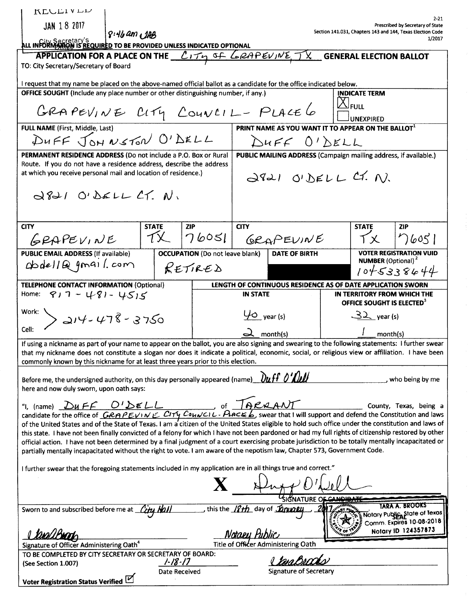| $2 - 21$<br><b>JAN 18 2017</b><br>Prescribed by Secretary of State<br>Section 141.031, Chapters 143 and 144, Texas Election Code<br>$8:46$ am $AB$<br>1/2017<br>ALL INFORMATION IS REQUIRED TO BE PROVIDED UNLESS INDICATED OPTIONAL<br>APPLICATION FOR A PLACE ON THE $\ell_1 \tau_1$ of LAPPEVINE, $\tau_1$ GENERAL ELECTION BALLOT<br>TO: City Secretary/Secretary of Board<br>I request that my name be placed on the above-named official ballot as a candidate for the office indicated below.<br>OFFICE SOUGHT (Include any place number or other distinguishing number, if any.)<br><b>INDICATE TERM</b><br>$\Delta$ Full<br>GRAPEVINE CITY COUNCIL-PLACE6<br><b>UNEXPIRED</b><br>FULL NAME (First, Middle, Last)<br>PRINT NAME AS YOU WANT IT TO APPEAR ON THE BALLOT<br>DUFF JOHNSTON O'DELL<br>DUFF O'DELL<br><b>PERMANENT RESIDENCE ADDRESS (Do not include a P.O. Box or Rural</b><br>PUBLIC MAILING ADDRESS (Campaign mailing address, if available.)<br>Route. If you do not have a residence address, describe the address<br>at which you receive personal mail and location of residence.)<br>$d821$ O'DELL CT. N)<br>$d821$ O'DELL CT. N.<br><b>CITY</b><br><b>STATE</b><br><b>CITY</b><br><b>ZIP</b><br><b>STATE</b><br><b>ZIP</b><br>TX<br>76051<br>76051<br>GRAPEVINE<br>GRAPEVINE<br>ΤX.<br><b>VOTER REGISTRATION VUID</b><br>PUBLIC EMAIL ADDRESS (If available)<br><b>OCCUPATION</b> (Do not leave blank)<br>DATE OF BIRTH<br><b>NUMBER</b> (Optional) <sup>2</sup><br>$dbdellQ$ gmail.com<br>RETIRED<br>1045338644<br><b>TELEPHONE CONTACT INFORMATION (Optional)</b><br>LENGTH OF CONTINUOUS RESIDENCE AS OF DATE APPLICATION SWORN<br>Home: $917 - 481 - 4515$<br>IN TERRITORY FROM WHICH THE<br><b>IN STATE</b><br>OFFICE SOUGHT IS ELECTED <sup>3</sup><br>Work:<br>$\varphi$ year (s)<br>$32$ year (s)<br>$>214 - 478 - 3750$<br>Cell:<br>month(s)<br>month(s)<br>If using a nickname as part of your name to appear on the ballot, you are also signing and swearing to the following statements: I further swear<br>that my nickname does not constitute a slogan nor does it indicate a political, economic, social, or religious view or affiliation. I have been<br>commonly known by this nickname for at least three years prior to this election.<br>Before me, the undersigned authority, on this day personally appeared (name) $\partial u$ ff $\partial'$<br>who being by me<br>here and now duly sworn, upon oath says:<br>"I, (name) $\underline{Du}F\begin{matrix}C'DELL\end{matrix}$ of $\overline{D}PRAANT$ County, Texas, being a candidate for the office of $\overline{C}RAPEV\cdots E\begin{matrix}CITy\end{matrix}CouxCL\cdot PACE\begin{matrix}E&E\end{matrix}$ swear that I will support and defend the Constitution and laws<br>of the United States and of the State of Texas. I am a citizen of the United States eligible to hold such office under the constitution and laws of<br>this state. I have not been finally convicted of a felony for which I have not been pardoned or had my full rights of citizenship restored by other<br>official action. I have not been determined by a final judgment of a court exercising probate jurisdiction to be totally mentally incapacitated or<br>partially mentally incapacitated without the right to vote. I am aware of the nepotism law, Chapter 573, Government Code.<br>I further swear that the foregoing statements included in my application are in all things true and correct."<br>$\mathbf{X}$ Hugg $0$<br>SIGNATURE O <del>F CANDIE</del><br>TARA A. BROOKS<br>this the <i>ISth</i> day of <i>Jonvoll</i><br>Sworn to and subscribed before me at <i>City Hall</i><br>Notary PublicaState of Texas<br>Comm. Expires 10-08-2018<br>Notary ID 124357873<br>Notaey Public<br>twaUB <b>uar</b> h<br>Title of Officer Administering Oath<br>Signature of Officer Administering Oath <sup>4</sup><br>TO BE COMPLETED BY CITY SECRETARY OR SECRETARY OF BOARD:<br>I Dea Berr<br>$1 - 18 - 17$<br>(See Section 1.007)<br><b>Signature of Secretary</b><br>Date Received<br>Voter Registration Status Verified | KEULIVLL |  |  |  |  |  |  |
|--------------------------------------------------------------------------------------------------------------------------------------------------------------------------------------------------------------------------------------------------------------------------------------------------------------------------------------------------------------------------------------------------------------------------------------------------------------------------------------------------------------------------------------------------------------------------------------------------------------------------------------------------------------------------------------------------------------------------------------------------------------------------------------------------------------------------------------------------------------------------------------------------------------------------------------------------------------------------------------------------------------------------------------------------------------------------------------------------------------------------------------------------------------------------------------------------------------------------------------------------------------------------------------------------------------------------------------------------------------------------------------------------------------------------------------------------------------------------------------------------------------------------------------------------------------------------------------------------------------------------------------------------------------------------------------------------------------------------------------------------------------------------------------------------------------------------------------------------------------------------------------------------------------------------------------------------------------------------------------------------------------------------------------------------------------------------------------------------------------------------------------------------------------------------------------------------------------------------------------------------------------------------------------------------------------------------------------------------------------------------------------------------------------------------------------------------------------------------------------------------------------------------------------------------------------------------------------------------------------------------------------------------------------------------------------------------------------------------------------------------------------------------------------------------------------------------------------------------------------------------------------------------------------------------------------------------------------------------------------------------------------------------------------------------------------------------------------------------------------------------------------------------------------------------------------------------------------------------------------------------------------------------------------------------------------------------------------------------------------------------------------------------------------------------------------------------------------------------------------------------------------------------------------------------------------------------------------------------------------------------------------------------------------------------------------------------------------------------------------------------------------------------------------------------------------------------------------------------------------------------------------------------------------------------------------------------------------------------------------------------------------------------------------------------------------------------------------------------------------------------------|----------|--|--|--|--|--|--|
|                                                                                                                                                                                                                                                                                                                                                                                                                                                                                                                                                                                                                                                                                                                                                                                                                                                                                                                                                                                                                                                                                                                                                                                                                                                                                                                                                                                                                                                                                                                                                                                                                                                                                                                                                                                                                                                                                                                                                                                                                                                                                                                                                                                                                                                                                                                                                                                                                                                                                                                                                                                                                                                                                                                                                                                                                                                                                                                                                                                                                                                                                                                                                                                                                                                                                                                                                                                                                                                                                                                                                                                                                                                                                                                                                                                                                                                                                                                                                                                                                                                                                                                                |          |  |  |  |  |  |  |
|                                                                                                                                                                                                                                                                                                                                                                                                                                                                                                                                                                                                                                                                                                                                                                                                                                                                                                                                                                                                                                                                                                                                                                                                                                                                                                                                                                                                                                                                                                                                                                                                                                                                                                                                                                                                                                                                                                                                                                                                                                                                                                                                                                                                                                                                                                                                                                                                                                                                                                                                                                                                                                                                                                                                                                                                                                                                                                                                                                                                                                                                                                                                                                                                                                                                                                                                                                                                                                                                                                                                                                                                                                                                                                                                                                                                                                                                                                                                                                                                                                                                                                                                |          |  |  |  |  |  |  |
|                                                                                                                                                                                                                                                                                                                                                                                                                                                                                                                                                                                                                                                                                                                                                                                                                                                                                                                                                                                                                                                                                                                                                                                                                                                                                                                                                                                                                                                                                                                                                                                                                                                                                                                                                                                                                                                                                                                                                                                                                                                                                                                                                                                                                                                                                                                                                                                                                                                                                                                                                                                                                                                                                                                                                                                                                                                                                                                                                                                                                                                                                                                                                                                                                                                                                                                                                                                                                                                                                                                                                                                                                                                                                                                                                                                                                                                                                                                                                                                                                                                                                                                                |          |  |  |  |  |  |  |
|                                                                                                                                                                                                                                                                                                                                                                                                                                                                                                                                                                                                                                                                                                                                                                                                                                                                                                                                                                                                                                                                                                                                                                                                                                                                                                                                                                                                                                                                                                                                                                                                                                                                                                                                                                                                                                                                                                                                                                                                                                                                                                                                                                                                                                                                                                                                                                                                                                                                                                                                                                                                                                                                                                                                                                                                                                                                                                                                                                                                                                                                                                                                                                                                                                                                                                                                                                                                                                                                                                                                                                                                                                                                                                                                                                                                                                                                                                                                                                                                                                                                                                                                |          |  |  |  |  |  |  |
|                                                                                                                                                                                                                                                                                                                                                                                                                                                                                                                                                                                                                                                                                                                                                                                                                                                                                                                                                                                                                                                                                                                                                                                                                                                                                                                                                                                                                                                                                                                                                                                                                                                                                                                                                                                                                                                                                                                                                                                                                                                                                                                                                                                                                                                                                                                                                                                                                                                                                                                                                                                                                                                                                                                                                                                                                                                                                                                                                                                                                                                                                                                                                                                                                                                                                                                                                                                                                                                                                                                                                                                                                                                                                                                                                                                                                                                                                                                                                                                                                                                                                                                                |          |  |  |  |  |  |  |
|                                                                                                                                                                                                                                                                                                                                                                                                                                                                                                                                                                                                                                                                                                                                                                                                                                                                                                                                                                                                                                                                                                                                                                                                                                                                                                                                                                                                                                                                                                                                                                                                                                                                                                                                                                                                                                                                                                                                                                                                                                                                                                                                                                                                                                                                                                                                                                                                                                                                                                                                                                                                                                                                                                                                                                                                                                                                                                                                                                                                                                                                                                                                                                                                                                                                                                                                                                                                                                                                                                                                                                                                                                                                                                                                                                                                                                                                                                                                                                                                                                                                                                                                |          |  |  |  |  |  |  |
|                                                                                                                                                                                                                                                                                                                                                                                                                                                                                                                                                                                                                                                                                                                                                                                                                                                                                                                                                                                                                                                                                                                                                                                                                                                                                                                                                                                                                                                                                                                                                                                                                                                                                                                                                                                                                                                                                                                                                                                                                                                                                                                                                                                                                                                                                                                                                                                                                                                                                                                                                                                                                                                                                                                                                                                                                                                                                                                                                                                                                                                                                                                                                                                                                                                                                                                                                                                                                                                                                                                                                                                                                                                                                                                                                                                                                                                                                                                                                                                                                                                                                                                                |          |  |  |  |  |  |  |
|                                                                                                                                                                                                                                                                                                                                                                                                                                                                                                                                                                                                                                                                                                                                                                                                                                                                                                                                                                                                                                                                                                                                                                                                                                                                                                                                                                                                                                                                                                                                                                                                                                                                                                                                                                                                                                                                                                                                                                                                                                                                                                                                                                                                                                                                                                                                                                                                                                                                                                                                                                                                                                                                                                                                                                                                                                                                                                                                                                                                                                                                                                                                                                                                                                                                                                                                                                                                                                                                                                                                                                                                                                                                                                                                                                                                                                                                                                                                                                                                                                                                                                                                |          |  |  |  |  |  |  |
|                                                                                                                                                                                                                                                                                                                                                                                                                                                                                                                                                                                                                                                                                                                                                                                                                                                                                                                                                                                                                                                                                                                                                                                                                                                                                                                                                                                                                                                                                                                                                                                                                                                                                                                                                                                                                                                                                                                                                                                                                                                                                                                                                                                                                                                                                                                                                                                                                                                                                                                                                                                                                                                                                                                                                                                                                                                                                                                                                                                                                                                                                                                                                                                                                                                                                                                                                                                                                                                                                                                                                                                                                                                                                                                                                                                                                                                                                                                                                                                                                                                                                                                                |          |  |  |  |  |  |  |
|                                                                                                                                                                                                                                                                                                                                                                                                                                                                                                                                                                                                                                                                                                                                                                                                                                                                                                                                                                                                                                                                                                                                                                                                                                                                                                                                                                                                                                                                                                                                                                                                                                                                                                                                                                                                                                                                                                                                                                                                                                                                                                                                                                                                                                                                                                                                                                                                                                                                                                                                                                                                                                                                                                                                                                                                                                                                                                                                                                                                                                                                                                                                                                                                                                                                                                                                                                                                                                                                                                                                                                                                                                                                                                                                                                                                                                                                                                                                                                                                                                                                                                                                |          |  |  |  |  |  |  |
|                                                                                                                                                                                                                                                                                                                                                                                                                                                                                                                                                                                                                                                                                                                                                                                                                                                                                                                                                                                                                                                                                                                                                                                                                                                                                                                                                                                                                                                                                                                                                                                                                                                                                                                                                                                                                                                                                                                                                                                                                                                                                                                                                                                                                                                                                                                                                                                                                                                                                                                                                                                                                                                                                                                                                                                                                                                                                                                                                                                                                                                                                                                                                                                                                                                                                                                                                                                                                                                                                                                                                                                                                                                                                                                                                                                                                                                                                                                                                                                                                                                                                                                                |          |  |  |  |  |  |  |
|                                                                                                                                                                                                                                                                                                                                                                                                                                                                                                                                                                                                                                                                                                                                                                                                                                                                                                                                                                                                                                                                                                                                                                                                                                                                                                                                                                                                                                                                                                                                                                                                                                                                                                                                                                                                                                                                                                                                                                                                                                                                                                                                                                                                                                                                                                                                                                                                                                                                                                                                                                                                                                                                                                                                                                                                                                                                                                                                                                                                                                                                                                                                                                                                                                                                                                                                                                                                                                                                                                                                                                                                                                                                                                                                                                                                                                                                                                                                                                                                                                                                                                                                |          |  |  |  |  |  |  |
|                                                                                                                                                                                                                                                                                                                                                                                                                                                                                                                                                                                                                                                                                                                                                                                                                                                                                                                                                                                                                                                                                                                                                                                                                                                                                                                                                                                                                                                                                                                                                                                                                                                                                                                                                                                                                                                                                                                                                                                                                                                                                                                                                                                                                                                                                                                                                                                                                                                                                                                                                                                                                                                                                                                                                                                                                                                                                                                                                                                                                                                                                                                                                                                                                                                                                                                                                                                                                                                                                                                                                                                                                                                                                                                                                                                                                                                                                                                                                                                                                                                                                                                                |          |  |  |  |  |  |  |
|                                                                                                                                                                                                                                                                                                                                                                                                                                                                                                                                                                                                                                                                                                                                                                                                                                                                                                                                                                                                                                                                                                                                                                                                                                                                                                                                                                                                                                                                                                                                                                                                                                                                                                                                                                                                                                                                                                                                                                                                                                                                                                                                                                                                                                                                                                                                                                                                                                                                                                                                                                                                                                                                                                                                                                                                                                                                                                                                                                                                                                                                                                                                                                                                                                                                                                                                                                                                                                                                                                                                                                                                                                                                                                                                                                                                                                                                                                                                                                                                                                                                                                                                |          |  |  |  |  |  |  |
|                                                                                                                                                                                                                                                                                                                                                                                                                                                                                                                                                                                                                                                                                                                                                                                                                                                                                                                                                                                                                                                                                                                                                                                                                                                                                                                                                                                                                                                                                                                                                                                                                                                                                                                                                                                                                                                                                                                                                                                                                                                                                                                                                                                                                                                                                                                                                                                                                                                                                                                                                                                                                                                                                                                                                                                                                                                                                                                                                                                                                                                                                                                                                                                                                                                                                                                                                                                                                                                                                                                                                                                                                                                                                                                                                                                                                                                                                                                                                                                                                                                                                                                                |          |  |  |  |  |  |  |
|                                                                                                                                                                                                                                                                                                                                                                                                                                                                                                                                                                                                                                                                                                                                                                                                                                                                                                                                                                                                                                                                                                                                                                                                                                                                                                                                                                                                                                                                                                                                                                                                                                                                                                                                                                                                                                                                                                                                                                                                                                                                                                                                                                                                                                                                                                                                                                                                                                                                                                                                                                                                                                                                                                                                                                                                                                                                                                                                                                                                                                                                                                                                                                                                                                                                                                                                                                                                                                                                                                                                                                                                                                                                                                                                                                                                                                                                                                                                                                                                                                                                                                                                |          |  |  |  |  |  |  |
|                                                                                                                                                                                                                                                                                                                                                                                                                                                                                                                                                                                                                                                                                                                                                                                                                                                                                                                                                                                                                                                                                                                                                                                                                                                                                                                                                                                                                                                                                                                                                                                                                                                                                                                                                                                                                                                                                                                                                                                                                                                                                                                                                                                                                                                                                                                                                                                                                                                                                                                                                                                                                                                                                                                                                                                                                                                                                                                                                                                                                                                                                                                                                                                                                                                                                                                                                                                                                                                                                                                                                                                                                                                                                                                                                                                                                                                                                                                                                                                                                                                                                                                                |          |  |  |  |  |  |  |
|                                                                                                                                                                                                                                                                                                                                                                                                                                                                                                                                                                                                                                                                                                                                                                                                                                                                                                                                                                                                                                                                                                                                                                                                                                                                                                                                                                                                                                                                                                                                                                                                                                                                                                                                                                                                                                                                                                                                                                                                                                                                                                                                                                                                                                                                                                                                                                                                                                                                                                                                                                                                                                                                                                                                                                                                                                                                                                                                                                                                                                                                                                                                                                                                                                                                                                                                                                                                                                                                                                                                                                                                                                                                                                                                                                                                                                                                                                                                                                                                                                                                                                                                |          |  |  |  |  |  |  |
|                                                                                                                                                                                                                                                                                                                                                                                                                                                                                                                                                                                                                                                                                                                                                                                                                                                                                                                                                                                                                                                                                                                                                                                                                                                                                                                                                                                                                                                                                                                                                                                                                                                                                                                                                                                                                                                                                                                                                                                                                                                                                                                                                                                                                                                                                                                                                                                                                                                                                                                                                                                                                                                                                                                                                                                                                                                                                                                                                                                                                                                                                                                                                                                                                                                                                                                                                                                                                                                                                                                                                                                                                                                                                                                                                                                                                                                                                                                                                                                                                                                                                                                                |          |  |  |  |  |  |  |
|                                                                                                                                                                                                                                                                                                                                                                                                                                                                                                                                                                                                                                                                                                                                                                                                                                                                                                                                                                                                                                                                                                                                                                                                                                                                                                                                                                                                                                                                                                                                                                                                                                                                                                                                                                                                                                                                                                                                                                                                                                                                                                                                                                                                                                                                                                                                                                                                                                                                                                                                                                                                                                                                                                                                                                                                                                                                                                                                                                                                                                                                                                                                                                                                                                                                                                                                                                                                                                                                                                                                                                                                                                                                                                                                                                                                                                                                                                                                                                                                                                                                                                                                |          |  |  |  |  |  |  |
|                                                                                                                                                                                                                                                                                                                                                                                                                                                                                                                                                                                                                                                                                                                                                                                                                                                                                                                                                                                                                                                                                                                                                                                                                                                                                                                                                                                                                                                                                                                                                                                                                                                                                                                                                                                                                                                                                                                                                                                                                                                                                                                                                                                                                                                                                                                                                                                                                                                                                                                                                                                                                                                                                                                                                                                                                                                                                                                                                                                                                                                                                                                                                                                                                                                                                                                                                                                                                                                                                                                                                                                                                                                                                                                                                                                                                                                                                                                                                                                                                                                                                                                                |          |  |  |  |  |  |  |
|                                                                                                                                                                                                                                                                                                                                                                                                                                                                                                                                                                                                                                                                                                                                                                                                                                                                                                                                                                                                                                                                                                                                                                                                                                                                                                                                                                                                                                                                                                                                                                                                                                                                                                                                                                                                                                                                                                                                                                                                                                                                                                                                                                                                                                                                                                                                                                                                                                                                                                                                                                                                                                                                                                                                                                                                                                                                                                                                                                                                                                                                                                                                                                                                                                                                                                                                                                                                                                                                                                                                                                                                                                                                                                                                                                                                                                                                                                                                                                                                                                                                                                                                |          |  |  |  |  |  |  |
|                                                                                                                                                                                                                                                                                                                                                                                                                                                                                                                                                                                                                                                                                                                                                                                                                                                                                                                                                                                                                                                                                                                                                                                                                                                                                                                                                                                                                                                                                                                                                                                                                                                                                                                                                                                                                                                                                                                                                                                                                                                                                                                                                                                                                                                                                                                                                                                                                                                                                                                                                                                                                                                                                                                                                                                                                                                                                                                                                                                                                                                                                                                                                                                                                                                                                                                                                                                                                                                                                                                                                                                                                                                                                                                                                                                                                                                                                                                                                                                                                                                                                                                                |          |  |  |  |  |  |  |
|                                                                                                                                                                                                                                                                                                                                                                                                                                                                                                                                                                                                                                                                                                                                                                                                                                                                                                                                                                                                                                                                                                                                                                                                                                                                                                                                                                                                                                                                                                                                                                                                                                                                                                                                                                                                                                                                                                                                                                                                                                                                                                                                                                                                                                                                                                                                                                                                                                                                                                                                                                                                                                                                                                                                                                                                                                                                                                                                                                                                                                                                                                                                                                                                                                                                                                                                                                                                                                                                                                                                                                                                                                                                                                                                                                                                                                                                                                                                                                                                                                                                                                                                |          |  |  |  |  |  |  |
|                                                                                                                                                                                                                                                                                                                                                                                                                                                                                                                                                                                                                                                                                                                                                                                                                                                                                                                                                                                                                                                                                                                                                                                                                                                                                                                                                                                                                                                                                                                                                                                                                                                                                                                                                                                                                                                                                                                                                                                                                                                                                                                                                                                                                                                                                                                                                                                                                                                                                                                                                                                                                                                                                                                                                                                                                                                                                                                                                                                                                                                                                                                                                                                                                                                                                                                                                                                                                                                                                                                                                                                                                                                                                                                                                                                                                                                                                                                                                                                                                                                                                                                                |          |  |  |  |  |  |  |
|                                                                                                                                                                                                                                                                                                                                                                                                                                                                                                                                                                                                                                                                                                                                                                                                                                                                                                                                                                                                                                                                                                                                                                                                                                                                                                                                                                                                                                                                                                                                                                                                                                                                                                                                                                                                                                                                                                                                                                                                                                                                                                                                                                                                                                                                                                                                                                                                                                                                                                                                                                                                                                                                                                                                                                                                                                                                                                                                                                                                                                                                                                                                                                                                                                                                                                                                                                                                                                                                                                                                                                                                                                                                                                                                                                                                                                                                                                                                                                                                                                                                                                                                |          |  |  |  |  |  |  |
|                                                                                                                                                                                                                                                                                                                                                                                                                                                                                                                                                                                                                                                                                                                                                                                                                                                                                                                                                                                                                                                                                                                                                                                                                                                                                                                                                                                                                                                                                                                                                                                                                                                                                                                                                                                                                                                                                                                                                                                                                                                                                                                                                                                                                                                                                                                                                                                                                                                                                                                                                                                                                                                                                                                                                                                                                                                                                                                                                                                                                                                                                                                                                                                                                                                                                                                                                                                                                                                                                                                                                                                                                                                                                                                                                                                                                                                                                                                                                                                                                                                                                                                                |          |  |  |  |  |  |  |
|                                                                                                                                                                                                                                                                                                                                                                                                                                                                                                                                                                                                                                                                                                                                                                                                                                                                                                                                                                                                                                                                                                                                                                                                                                                                                                                                                                                                                                                                                                                                                                                                                                                                                                                                                                                                                                                                                                                                                                                                                                                                                                                                                                                                                                                                                                                                                                                                                                                                                                                                                                                                                                                                                                                                                                                                                                                                                                                                                                                                                                                                                                                                                                                                                                                                                                                                                                                                                                                                                                                                                                                                                                                                                                                                                                                                                                                                                                                                                                                                                                                                                                                                |          |  |  |  |  |  |  |
|                                                                                                                                                                                                                                                                                                                                                                                                                                                                                                                                                                                                                                                                                                                                                                                                                                                                                                                                                                                                                                                                                                                                                                                                                                                                                                                                                                                                                                                                                                                                                                                                                                                                                                                                                                                                                                                                                                                                                                                                                                                                                                                                                                                                                                                                                                                                                                                                                                                                                                                                                                                                                                                                                                                                                                                                                                                                                                                                                                                                                                                                                                                                                                                                                                                                                                                                                                                                                                                                                                                                                                                                                                                                                                                                                                                                                                                                                                                                                                                                                                                                                                                                |          |  |  |  |  |  |  |
|                                                                                                                                                                                                                                                                                                                                                                                                                                                                                                                                                                                                                                                                                                                                                                                                                                                                                                                                                                                                                                                                                                                                                                                                                                                                                                                                                                                                                                                                                                                                                                                                                                                                                                                                                                                                                                                                                                                                                                                                                                                                                                                                                                                                                                                                                                                                                                                                                                                                                                                                                                                                                                                                                                                                                                                                                                                                                                                                                                                                                                                                                                                                                                                                                                                                                                                                                                                                                                                                                                                                                                                                                                                                                                                                                                                                                                                                                                                                                                                                                                                                                                                                |          |  |  |  |  |  |  |
|                                                                                                                                                                                                                                                                                                                                                                                                                                                                                                                                                                                                                                                                                                                                                                                                                                                                                                                                                                                                                                                                                                                                                                                                                                                                                                                                                                                                                                                                                                                                                                                                                                                                                                                                                                                                                                                                                                                                                                                                                                                                                                                                                                                                                                                                                                                                                                                                                                                                                                                                                                                                                                                                                                                                                                                                                                                                                                                                                                                                                                                                                                                                                                                                                                                                                                                                                                                                                                                                                                                                                                                                                                                                                                                                                                                                                                                                                                                                                                                                                                                                                                                                |          |  |  |  |  |  |  |
|                                                                                                                                                                                                                                                                                                                                                                                                                                                                                                                                                                                                                                                                                                                                                                                                                                                                                                                                                                                                                                                                                                                                                                                                                                                                                                                                                                                                                                                                                                                                                                                                                                                                                                                                                                                                                                                                                                                                                                                                                                                                                                                                                                                                                                                                                                                                                                                                                                                                                                                                                                                                                                                                                                                                                                                                                                                                                                                                                                                                                                                                                                                                                                                                                                                                                                                                                                                                                                                                                                                                                                                                                                                                                                                                                                                                                                                                                                                                                                                                                                                                                                                                |          |  |  |  |  |  |  |
|                                                                                                                                                                                                                                                                                                                                                                                                                                                                                                                                                                                                                                                                                                                                                                                                                                                                                                                                                                                                                                                                                                                                                                                                                                                                                                                                                                                                                                                                                                                                                                                                                                                                                                                                                                                                                                                                                                                                                                                                                                                                                                                                                                                                                                                                                                                                                                                                                                                                                                                                                                                                                                                                                                                                                                                                                                                                                                                                                                                                                                                                                                                                                                                                                                                                                                                                                                                                                                                                                                                                                                                                                                                                                                                                                                                                                                                                                                                                                                                                                                                                                                                                |          |  |  |  |  |  |  |
|                                                                                                                                                                                                                                                                                                                                                                                                                                                                                                                                                                                                                                                                                                                                                                                                                                                                                                                                                                                                                                                                                                                                                                                                                                                                                                                                                                                                                                                                                                                                                                                                                                                                                                                                                                                                                                                                                                                                                                                                                                                                                                                                                                                                                                                                                                                                                                                                                                                                                                                                                                                                                                                                                                                                                                                                                                                                                                                                                                                                                                                                                                                                                                                                                                                                                                                                                                                                                                                                                                                                                                                                                                                                                                                                                                                                                                                                                                                                                                                                                                                                                                                                |          |  |  |  |  |  |  |
|                                                                                                                                                                                                                                                                                                                                                                                                                                                                                                                                                                                                                                                                                                                                                                                                                                                                                                                                                                                                                                                                                                                                                                                                                                                                                                                                                                                                                                                                                                                                                                                                                                                                                                                                                                                                                                                                                                                                                                                                                                                                                                                                                                                                                                                                                                                                                                                                                                                                                                                                                                                                                                                                                                                                                                                                                                                                                                                                                                                                                                                                                                                                                                                                                                                                                                                                                                                                                                                                                                                                                                                                                                                                                                                                                                                                                                                                                                                                                                                                                                                                                                                                |          |  |  |  |  |  |  |
|                                                                                                                                                                                                                                                                                                                                                                                                                                                                                                                                                                                                                                                                                                                                                                                                                                                                                                                                                                                                                                                                                                                                                                                                                                                                                                                                                                                                                                                                                                                                                                                                                                                                                                                                                                                                                                                                                                                                                                                                                                                                                                                                                                                                                                                                                                                                                                                                                                                                                                                                                                                                                                                                                                                                                                                                                                                                                                                                                                                                                                                                                                                                                                                                                                                                                                                                                                                                                                                                                                                                                                                                                                                                                                                                                                                                                                                                                                                                                                                                                                                                                                                                |          |  |  |  |  |  |  |
|                                                                                                                                                                                                                                                                                                                                                                                                                                                                                                                                                                                                                                                                                                                                                                                                                                                                                                                                                                                                                                                                                                                                                                                                                                                                                                                                                                                                                                                                                                                                                                                                                                                                                                                                                                                                                                                                                                                                                                                                                                                                                                                                                                                                                                                                                                                                                                                                                                                                                                                                                                                                                                                                                                                                                                                                                                                                                                                                                                                                                                                                                                                                                                                                                                                                                                                                                                                                                                                                                                                                                                                                                                                                                                                                                                                                                                                                                                                                                                                                                                                                                                                                |          |  |  |  |  |  |  |
|                                                                                                                                                                                                                                                                                                                                                                                                                                                                                                                                                                                                                                                                                                                                                                                                                                                                                                                                                                                                                                                                                                                                                                                                                                                                                                                                                                                                                                                                                                                                                                                                                                                                                                                                                                                                                                                                                                                                                                                                                                                                                                                                                                                                                                                                                                                                                                                                                                                                                                                                                                                                                                                                                                                                                                                                                                                                                                                                                                                                                                                                                                                                                                                                                                                                                                                                                                                                                                                                                                                                                                                                                                                                                                                                                                                                                                                                                                                                                                                                                                                                                                                                |          |  |  |  |  |  |  |
|                                                                                                                                                                                                                                                                                                                                                                                                                                                                                                                                                                                                                                                                                                                                                                                                                                                                                                                                                                                                                                                                                                                                                                                                                                                                                                                                                                                                                                                                                                                                                                                                                                                                                                                                                                                                                                                                                                                                                                                                                                                                                                                                                                                                                                                                                                                                                                                                                                                                                                                                                                                                                                                                                                                                                                                                                                                                                                                                                                                                                                                                                                                                                                                                                                                                                                                                                                                                                                                                                                                                                                                                                                                                                                                                                                                                                                                                                                                                                                                                                                                                                                                                |          |  |  |  |  |  |  |
|                                                                                                                                                                                                                                                                                                                                                                                                                                                                                                                                                                                                                                                                                                                                                                                                                                                                                                                                                                                                                                                                                                                                                                                                                                                                                                                                                                                                                                                                                                                                                                                                                                                                                                                                                                                                                                                                                                                                                                                                                                                                                                                                                                                                                                                                                                                                                                                                                                                                                                                                                                                                                                                                                                                                                                                                                                                                                                                                                                                                                                                                                                                                                                                                                                                                                                                                                                                                                                                                                                                                                                                                                                                                                                                                                                                                                                                                                                                                                                                                                                                                                                                                |          |  |  |  |  |  |  |
|                                                                                                                                                                                                                                                                                                                                                                                                                                                                                                                                                                                                                                                                                                                                                                                                                                                                                                                                                                                                                                                                                                                                                                                                                                                                                                                                                                                                                                                                                                                                                                                                                                                                                                                                                                                                                                                                                                                                                                                                                                                                                                                                                                                                                                                                                                                                                                                                                                                                                                                                                                                                                                                                                                                                                                                                                                                                                                                                                                                                                                                                                                                                                                                                                                                                                                                                                                                                                                                                                                                                                                                                                                                                                                                                                                                                                                                                                                                                                                                                                                                                                                                                |          |  |  |  |  |  |  |
|                                                                                                                                                                                                                                                                                                                                                                                                                                                                                                                                                                                                                                                                                                                                                                                                                                                                                                                                                                                                                                                                                                                                                                                                                                                                                                                                                                                                                                                                                                                                                                                                                                                                                                                                                                                                                                                                                                                                                                                                                                                                                                                                                                                                                                                                                                                                                                                                                                                                                                                                                                                                                                                                                                                                                                                                                                                                                                                                                                                                                                                                                                                                                                                                                                                                                                                                                                                                                                                                                                                                                                                                                                                                                                                                                                                                                                                                                                                                                                                                                                                                                                                                |          |  |  |  |  |  |  |
|                                                                                                                                                                                                                                                                                                                                                                                                                                                                                                                                                                                                                                                                                                                                                                                                                                                                                                                                                                                                                                                                                                                                                                                                                                                                                                                                                                                                                                                                                                                                                                                                                                                                                                                                                                                                                                                                                                                                                                                                                                                                                                                                                                                                                                                                                                                                                                                                                                                                                                                                                                                                                                                                                                                                                                                                                                                                                                                                                                                                                                                                                                                                                                                                                                                                                                                                                                                                                                                                                                                                                                                                                                                                                                                                                                                                                                                                                                                                                                                                                                                                                                                                |          |  |  |  |  |  |  |
|                                                                                                                                                                                                                                                                                                                                                                                                                                                                                                                                                                                                                                                                                                                                                                                                                                                                                                                                                                                                                                                                                                                                                                                                                                                                                                                                                                                                                                                                                                                                                                                                                                                                                                                                                                                                                                                                                                                                                                                                                                                                                                                                                                                                                                                                                                                                                                                                                                                                                                                                                                                                                                                                                                                                                                                                                                                                                                                                                                                                                                                                                                                                                                                                                                                                                                                                                                                                                                                                                                                                                                                                                                                                                                                                                                                                                                                                                                                                                                                                                                                                                                                                |          |  |  |  |  |  |  |